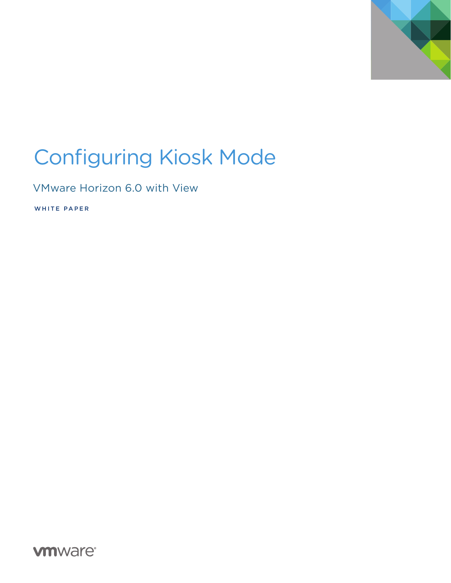

# Configuring Kiosk Mode

VMware Horizon 6.0 with View

WHITE PAPER

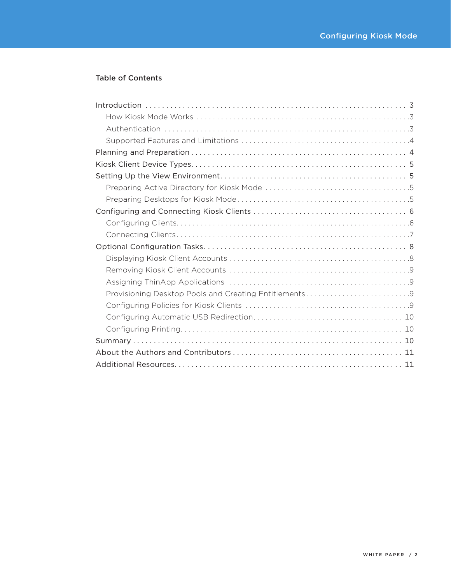### Table of Contents

| Provisioning Desktop Pools and Creating Entitlements9 |
|-------------------------------------------------------|
|                                                       |
|                                                       |
|                                                       |
|                                                       |
|                                                       |
|                                                       |
|                                                       |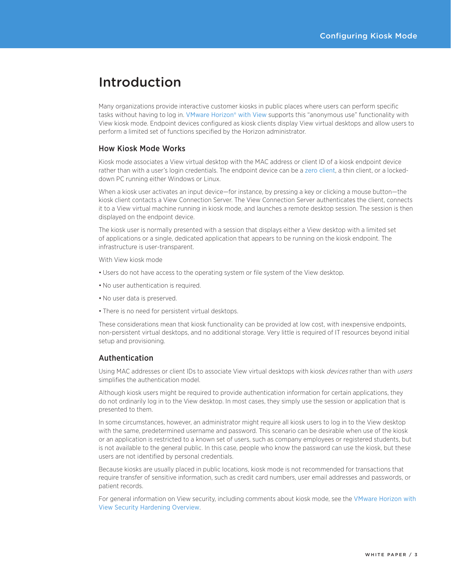## <span id="page-2-0"></span>Introduction

Many organizations provide interactive customer kiosks in public places where users can perform specific tasks without having to log in. [VMware Horizon® with View](http://www.vmware.com/products/horizon-view/) supports this "anonymous use" functionality with View kiosk mode. Endpoint devices configured as kiosk clients display View virtual desktops and allow users to perform a limited set of functions specified by the Horizon administrator.

#### How Kiosk Mode Works

Kiosk mode associates a View virtual desktop with the MAC address or client ID of a kiosk endpoint device rather than with a user's login credentials. The endpoint device can be a [zero client](http://www.vmware.com/files/pdf/view/vmware-top-five-considerations-for-choosing-a-zero-client-environment-techwp.pdf), a thin client, or a lockeddown PC running either Windows or Linux.

When a kiosk user activates an input device—for instance, by pressing a key or clicking a mouse button—the kiosk client contacts a View Connection Server. The View Connection Server authenticates the client, connects it to a View virtual machine running in kiosk mode, and launches a remote desktop session. The session is then displayed on the endpoint device.

The kiosk user is normally presented with a session that displays either a View desktop with a limited set of applications or a single, dedicated application that appears to be running on the kiosk endpoint. The infrastructure is user-transparent.

With View kiosk mode

- Users do not have access to the operating system or file system of the View desktop.
- No user authentication is required.
- No user data is preserved.
- There is no need for persistent virtual desktops.

These considerations mean that kiosk functionality can be provided at low cost, with inexpensive endpoints, non-persistent virtual desktops, and no additional storage. Very little is required of IT resources beyond initial setup and provisioning.

#### Authentication

Using MAC addresses or client IDs to associate View virtual desktops with kiosk devices rather than with users simplifies the authentication model.

Although kiosk users might be required to provide authentication information for certain applications, they do not ordinarily log in to the View desktop. In most cases, they simply use the session or application that is presented to them.

In some circumstances, however, an administrator might require all kiosk users to log in to the View desktop with the same, predetermined username and password. This scenario can be desirable when use of the kiosk or an application is restricted to a known set of users, such as company employees or registered students, but is not available to the general public. In this case, people who know the password can use the kiosk, but these users are not identified by personal credentials.

Because kiosks are usually placed in public locations, kiosk mode is not recommended for transactions that require transfer of sensitive information, such as credit card numbers, user email addresses and passwords, or patient records.

For general information on View security, including comments about kiosk mode, see the [VMware Horizon with](http://www.vmware.com/files/pdf/techpaper/vmware-horizon-view-security-hardening-overview.pdf)  [View Security Hardening Overview](http://www.vmware.com/files/pdf/techpaper/vmware-horizon-view-security-hardening-overview.pdf).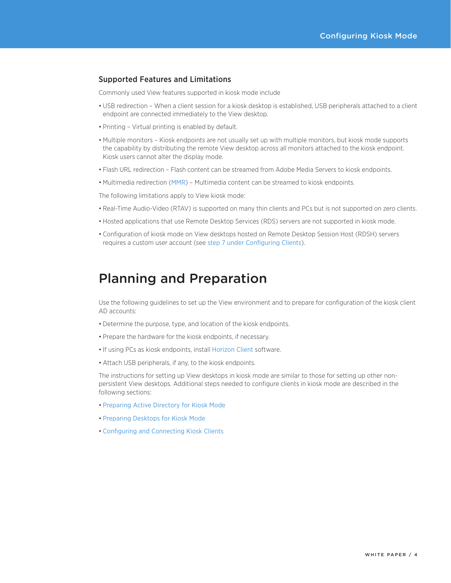#### <span id="page-3-0"></span>Supported Features and Limitations

Commonly used View features supported in kiosk mode include

- • USB redirection When a client session for a kiosk desktop is established, USB peripherals attached to a client endpoint are connected immediately to the View desktop.
- Printing Virtual printing is enabled by default.
- • Multiple monitors Kiosk endpoints are not usually set up with multiple monitors, but kiosk mode supports the capability by distributing the remote View desktop across all monitors attached to the kiosk endpoint. Kiosk users cannot alter the display mode.
- Flash URL redirection Flash content can be streamed from Adobe Media Servers to kiosk endpoints.
- Multimedia redirection ([MMR](http://blogs.vmware.com/euc/2014/12/vmware-horizon-view-windows-media-redirection-multimedia.html)) Multimedia content can be streamed to kiosk endpoints.

The following limitations apply to View kiosk mode:

- Real-Time Audio-Video (RTAV) is supported on many thin clients and PCs but is not supported on zero clients.
- Hosted applications that use Remote Desktop Services (RDS) servers are not supported in kiosk mode.
- • Configuration of kiosk mode on View desktops hosted on Remote Desktop Session Host (RDSH) servers requires a custom user account (see [step 7 under Configuring Clients](#page-6-1)).

### Planning and Preparation

Use the following guidelines to set up the View environment and to prepare for configuration of the kiosk client AD accounts:

- Determine the purpose, type, and location of the kiosk endpoints.
- Prepare the hardware for the kiosk endpoints, if necessary.
- If using PCs as kiosk endpoints, install [Horizon Client](https://www.vmware.com/support/viewclients/doc/viewclients_pubs.html) software.
- Attach USB peripherals, if any, to the kiosk endpoints.

The instructions for setting up View desktops in kiosk mode are similar to those for setting up other nonpersistent View desktops. Additional steps needed to configure clients in kiosk mode are described in the following sections:

- [Preparing Active Directory for Kiosk Mode](#page-4-1)
- [Preparing Desktops for Kiosk Mode](#page-4-2)
- • [Configuring and Connecting Kiosk Clients](#page-5-1)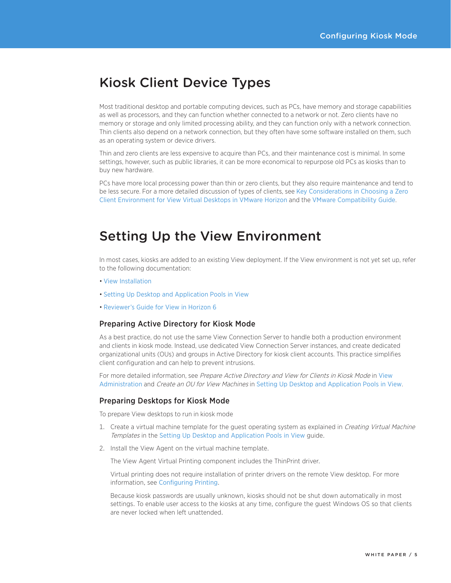### <span id="page-4-0"></span>Kiosk Client Device Types

Most traditional desktop and portable computing devices, such as PCs, have memory and storage capabilities as well as processors, and they can function whether connected to a network or not. Zero clients have no memory or storage and only limited processing ability, and they can function only with a network connection. Thin clients also depend on a network connection, but they often have some software installed on them, such as an operating system or device drivers.

Thin and zero clients are less expensive to acquire than PCs, and their maintenance cost is minimal. In some settings, however, such as public libraries, it can be more economical to repurpose old PCs as kiosks than to buy new hardware.

PCs have more local processing power than thin or zero clients, but they also require maintenance and tend to be less secure. For a more detailed discussion of types of clients, see [Key Considerations in Choosing a Zero](http://www.vmware.com/files/pdf/view/vmware-top-five-considerations-for-choosing-a-zero-client-environment-techwp.pdf)  [Client Environment for View Virtual Desktops in VMware Horizon](http://www.vmware.com/files/pdf/view/vmware-top-five-considerations-for-choosing-a-zero-client-environment-techwp.pdf) and the [VMware Compatibility Guide](http://www.vmware.com/resources/compatibility/search.php%3FdeviceCategory%3Dvdm).

### Setting Up the View Environment

In most cases, kiosks are added to an existing View deployment. If the View environment is not yet set up, refer to the following documentation:

- • [View Installation](https://www.vmware.com/support/pubs/view_pubs.html)
- • [Setting Up Desktop and Application Pools in View](https://www.vmware.com/support/pubs/view_pubs.html)
- [Reviewer's Guide for View in Horizon 6](https://www.vmware.com/files/pdf/view/VMware-View-Evaluators-Guide.pdf)

#### <span id="page-4-1"></span>Preparing Active Directory for Kiosk Mode

As a best practice, do not use the same View Connection Server to handle both a production environment and clients in kiosk mode. Instead, use dedicated View Connection Server instances, and create dedicated organizational units (OUs) and groups in Active Directory for kiosk client accounts. This practice simplifies client configuration and can help to prevent intrusions.

For more detailed information, see Prepare Active Directory and [View](https://www.vmware.com/support/pubs/view_pubs.html) for Clients in Kiosk Mode in View [Administration](https://www.vmware.com/support/pubs/view_pubs.html) and Create an OU for View Machines in [Setting Up Desktop and Application Pools in View](https://www.vmware.com/support/pubs/view_pubs.html).

#### <span id="page-4-2"></span>Preparing Desktops for Kiosk Mode

To prepare View desktops to run in kiosk mode

- 1. Create a virtual machine template for the guest operating system as explained in Creating Virtual Machine Templates in the [Setting Up Desktop and Application Pools in View](https://www.vmware.com/support/pubs/view_pubs.html) guide.
- 2. Install the View Agent on the virtual machine template.

The View Agent Virtual Printing component includes the ThinPrint driver.

Virtual printing does not require installation of printer drivers on the remote View desktop. For more information, see [Configuring Printing](#page-9-1).

Because kiosk passwords are usually unknown, kiosks should not be shut down automatically in most settings. To enable user access to the kiosks at any time, configure the guest Windows OS so that clients are never locked when left unattended.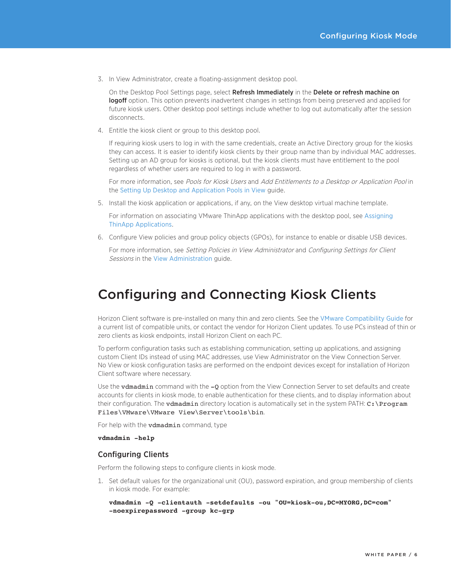<span id="page-5-0"></span>3. In View Administrator, create a floating-assignment desktop pool.

On the Desktop Pool Settings page, select Refresh Immediately in the Delete or refresh machine on logoff option. This option prevents inadvertent changes in settings from being preserved and applied for future kiosk users. Other desktop pool settings include whether to log out automatically after the session disconnects.

4. Entitle the kiosk client or group to this desktop pool.

If requiring kiosk users to log in with the same credentials, create an Active Directory group for the kiosks they can access. It is easier to identify kiosk clients by their group name than by individual MAC addresses. Setting up an AD group for kiosks is optional, but the kiosk clients must have entitlement to the pool regardless of whether users are required to log in with a password.

For more information, see Pools for Kiosk Users and Add Entitlements to a Desktop or Application Pool in the [Setting Up Desktop and Application Pools in View](https://www.vmware.com/support/pubs/view_pubs.html) guide.

5. Install the kiosk application or applications, if any, on the View desktop virtual machine template.

For information on associating VMware ThinApp applications with the desktop pool, see [Assigning](#page-8-1)  [ThinApp Applications](#page-8-1).

6. Configure View policies and group policy objects (GPOs), for instance to enable or disable USB devices.

For more information, see Setting Policies in View Administrator and Configuring Settings for Client Sessions in the [View Administration](https://www.vmware.com/support/pubs/view_pubs.html) guide.

### <span id="page-5-1"></span>Configuring and Connecting Kiosk Clients

Horizon Client software is pre-installed on many thin and zero clients. See the [VMware Compatibility Guide](http://www.vmware.com/resources/compatibility/search.php?deviceCategory=vdm) for a current list of compatible units, or contact the vendor for Horizon Client updates. To use PCs instead of thin or zero clients as kiosk endpoints, install Horizon Client on each PC.

To perform configuration tasks such as establishing communication, setting up applications, and assigning custom Client IDs instead of using MAC addresses, use View Administrator on the View Connection Server. No View or kiosk configuration tasks are performed on the endpoint devices except for installation of Horizon Client software where necessary.

Use the vdmadmin command with the -0 option from the View Connection Server to set defaults and create accounts for clients in kiosk mode, to enable authentication for these clients, and to display information about their configuration. The vdmadmin directory location is automatically set in the system PATH: C:\Program Files\VMware\VMware View\Server\tools\bin.

For help with the **vdmadmin** command, type

**vdmadmin -help**

#### Configuring Clients

Perform the following steps to configure clients in kiosk mode.

1. Set default values for the organizational unit (OU), password expiration, and group membership of clients in kiosk mode. For example:

**vdmadmin -Q -clientauth -setdefaults -ou "OU=kiosk-ou,DC=MYORG,DC=com" -noexpirepassword -group kc-grp**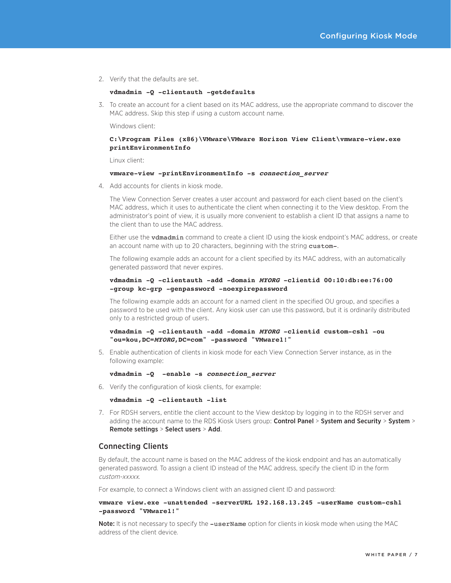<span id="page-6-0"></span>2. Verify that the defaults are set.

#### **vdmadmin -Q -clientauth -getdefaults**

3. To create an account for a client based on its MAC address, use the appropriate command to discover the MAC address. Skip this step if using a custom account name.

Windows client:

#### **C:\Program Files (x86)\VMware\VMware Horizon View Client\vmware-view.exe printEnvironmentInfo**

Linux client:

#### **vmware-view -printEnvironmentInfo -s connection\_server**

4. Add accounts for clients in kiosk mode.

The View Connection Server creates a user account and password for each client based on the client's MAC address, which it uses to authenticate the client when connecting it to the View desktop. From the administrator's point of view, it is usually more convenient to establish a client ID that assigns a name to the client than to use the MAC address.

Either use the **vdmadmin** command to create a client ID using the kiosk endpoint's MAC address, or create an account name with up to 20 characters, beginning with the string custom-.

The following example adds an account for a client specified by its MAC address, with an automatically generated password that never expires.

#### **vdmadmin -Q -clientauth -add -domain MYORG -clientid 00:10:db:ee:76:00 -group kc-grp -genpassword -noexpirepassword**

The following example adds an account for a named client in the specified OU group, and specifies a password to be used with the client. Any kiosk user can use this password, but it is ordinarily distributed only to a restricted group of users.

#### **vdmadmin -Q -clientauth -add -domain MYORG -clientid custom-csh1 -ou "ou=kou,DC=MYORG,DC=com" -password "VMware1!"**

5. Enable authentication of clients in kiosk mode for each View Connection Server instance, as in the following example:

#### **vdmadmin -Q -enable -s connection\_server**

6. Verify the configuration of kiosk clients, for example:

**vdmadmin -Q -clientauth -list**

<span id="page-6-1"></span>7. For RDSH servers, entitle the client account to the View desktop by logging in to the RDSH server and adding the account name to the RDS Kiosk Users group: Control Panel > System and Security > System > Remote settings > Select users > Add.

#### Connecting Clients

By default, the account name is based on the MAC address of the kiosk endpoint and has an automatically generated password. To assign a client ID instead of the MAC address, specify the client ID in the form custom-xxxxx.

For example, to connect a Windows client with an assigned client ID and password:

#### **vmware view.exe -unattended -serverURL 192.168.13.245 -userName custom-csh1 -password "VMware1!"**

Note: It is not necessary to specify the -userName option for clients in kiosk mode when using the MAC address of the client device.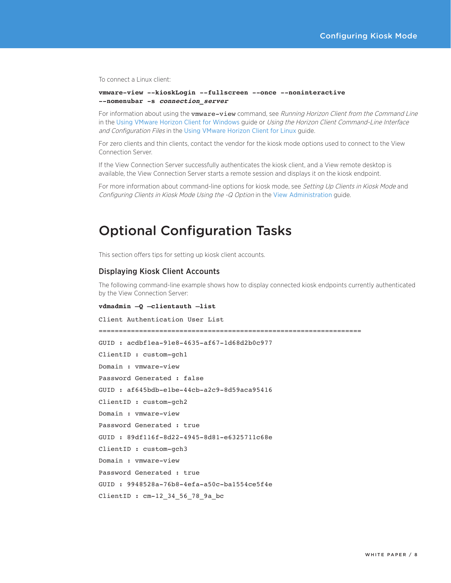<span id="page-7-0"></span>To connect a Linux client:

**vmware-view --kioskLogin --fullscreen --once --noninteractive --nomenubar -s connection\_server**

For information about using the vmware-view command, see Running Horizon Client from the Command Line in the [Using VMware Horizon Client for Windows](https://www.vmware.com/support/viewclients/doc/viewclients_pubs.html) guide or Using the Horizon Client Command-Line Interface and Configuration Files in the [Using VMware Horizon Client for Linux](https://www.vmware.com/support/viewclients/doc/viewclients_pubs.html) guide.

For zero clients and thin clients, contact the vendor for the kiosk mode options used to connect to the View Connection Server.

If the View Connection Server successfully authenticates the kiosk client, and a View remote desktop is available, the View Connection Server starts a remote session and displays it on the kiosk endpoint.

For more information about command-line options for kiosk mode, see Setting Up Clients in Kiosk Mode and Configuring Clients in Kiosk Mode Using the -Q Option in the [View Administration](https://www.vmware.com/support/pubs/view_pubs.html) guide.

### Optional Configuration Tasks

This section offers tips for setting up kiosk client accounts.

#### Displaying Kiosk Client Accounts

The following command-line example shows how to display connected kiosk endpoints currently authenticated by the View Connection Server:

#### **vdmadmin –Q –clientauth –list**

Client Authentication User List ================================================================= GUID : acdbf1ea-91e8-4635-af67-1d68d2b0c977 ClientID : custom-gch1 Domain : vmware-view Password Generated : false GUID : af645bdb-e1be-44cb-a2c9-8d59aca95416 ClientID : custom-gch2 Domain : vmware-view Password Generated : true GUID : 89df116f-8d22-4945-8d81-e6325711c68e ClientID : custom-gch3 Domain : vmware-view Password Generated : true GUID : 9948528a-76b8-4efa-a50c-ba1554ce5f4e ClientID : cm-12\_34\_56\_78\_9a\_bc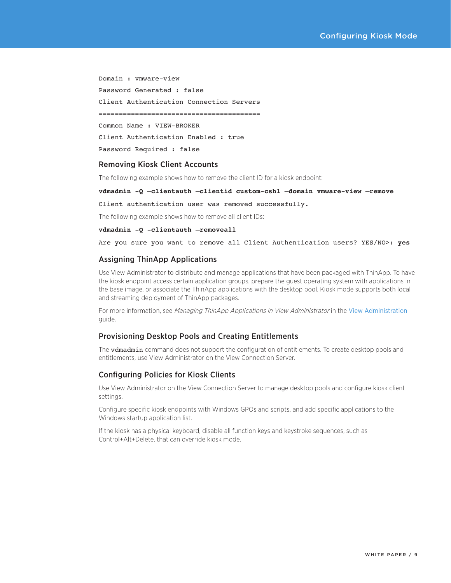<span id="page-8-0"></span>Domain : vmware-view Password Generated : false Client Authentication Connection Servers ======================================== Common Name : VIEW-BROKER Client Authentication Enabled : true Password Required : false

#### Removing Kiosk Client Accounts

The following example shows how to remove the client ID for a kiosk endpoint:

#### **vdmadmin -Q –clientauth –clientid custom-csh1 –domain vmware-view –remove**

Client authentication user was removed successfully.

The following example shows how to remove all client IDs:

**vdmadmin -Q -clientauth –removeall** 

Are you sure you want to remove all Client Authentication users? YES/NO>: **yes**

#### <span id="page-8-1"></span>Assigning ThinApp Applications

Use View Administrator to distribute and manage applications that have been packaged with ThinApp. To have the kiosk endpoint access certain application groups, prepare the guest operating system with applications in the base image, or associate the ThinApp applications with the desktop pool. Kiosk mode supports both local and streaming deployment of ThinApp packages.

For more information, see Managing ThinApp Applications in View Administrator in the [View Administration](https://www.vmware.com/support/pubs/view_pubs.html) guide.

#### Provisioning Desktop Pools and Creating Entitlements

The vdmadmin command does not support the configuration of entitlements. To create desktop pools and entitlements, use View Administrator on the View Connection Server.

#### Configuring Policies for Kiosk Clients

Use View Administrator on the View Connection Server to manage desktop pools and configure kiosk client settings.

Configure specific kiosk endpoints with Windows GPOs and scripts, and add specific applications to the Windows startup application list.

If the kiosk has a physical keyboard, disable all function keys and keystroke sequences, such as Control+Alt+Delete, that can override kiosk mode.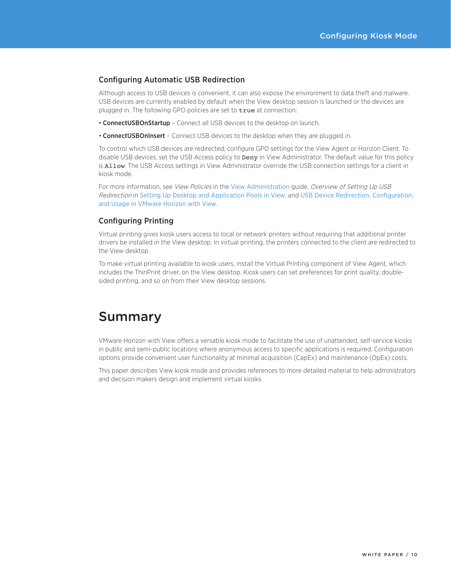#### <span id="page-9-0"></span>Configuring Automatic USB Redirection

Although access to USB devices is convenient, it can also expose the environment to data theft and malware. USB devices are currently enabled by default when the View desktop session is launched or the devices are plugged in. The following GPO policies are set to true at connection:

- ConnectUSBOnStartup Connect all USB devices to the desktop on launch.
- **ConnectUSBOnInsert** Connect USB devices to the desktop when they are plugged in.

To control which USB devices are redirected, configure GPO settings for the View Agent or Horizon Client. To disable USB devices, set the USB Access policy to **Deny** in View Administrator. The default value for this policy is Allow. The USB Access settings in View Administrator override the USB connection settings for a client in kiosk mode.

For more information, see View Policies in the [View Administration](https://www.vmware.com/support/pubs/view_pubs.html) guide, Overview of Setting Up USB Redirection in [Setting Up Desktop and Application Pools in View](https://www.vmware.com/support/pubs/view_pubs.html), and [USB Device Redirection, Configuration,](http://www.vmware.com/files/pdf/techpaper/vmware-horizon-view-usb-device-redirection.pdf)  [and Usage in VMware Horizon with View](http://www.vmware.com/files/pdf/techpaper/vmware-horizon-view-usb-device-redirection.pdf).

#### <span id="page-9-1"></span>Configuring Printing

Virtual printing gives kiosk users access to local or network printers without requiring that additional printer drivers be installed in the View desktop. In virtual printing, the printers connected to the client are redirected to the View desktop.

To make virtual printing available to kiosk users, install the Virtual Printing component of View Agent, which includes the ThinPrint driver, on the View desktop. Kiosk users can set preferences for print quality, doublesided printing, and so on from their View desktop sessions.

## Summary

VMware Horizon with View offers a versatile kiosk mode to facilitate the use of unattended, self-service kiosks in public and semi-public locations where anonymous access to specific applications is required. Configuration options provide convenient user functionality at minimal acquisition (CapEx) and maintenance (OpEx) costs.

This paper describes View kiosk mode and provides references to more detailed material to help administrators and decision makers design and implement virtual kiosks.